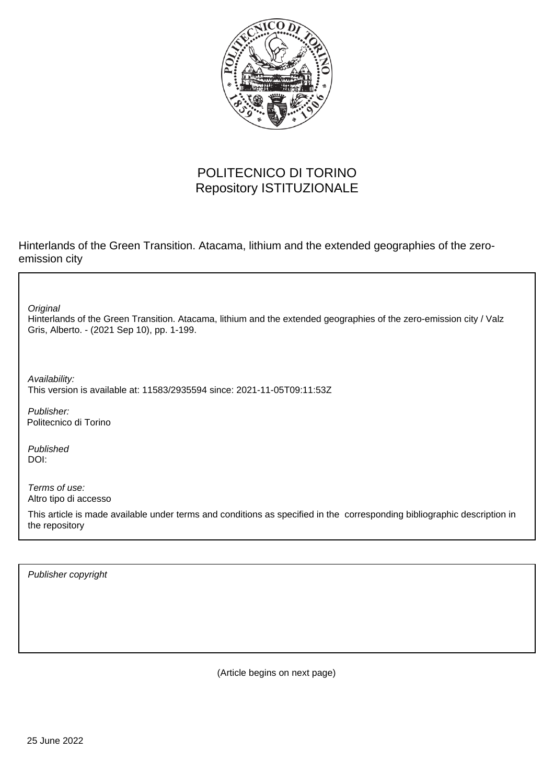

## POLITECNICO DI TORINO Repository ISTITUZIONALE

Hinterlands of the Green Transition. Atacama, lithium and the extended geographies of the zeroemission city

**Original** 

Hinterlands of the Green Transition. Atacama, lithium and the extended geographies of the zero-emission city / Valz Gris, Alberto. - (2021 Sep 10), pp. 1-199.

Availability: This version is available at: 11583/2935594 since: 2021-11-05T09:11:53Z

Publisher: Politecnico di Torino

Published DOI:

Terms of use: Altro tipo di accesso

This article is made available under terms and conditions as specified in the corresponding bibliographic description in the repository

Publisher copyright

(Article begins on next page)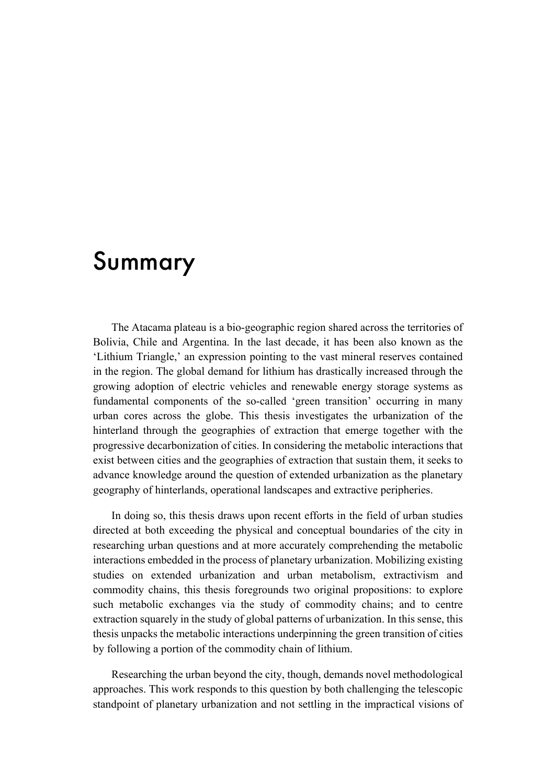## Summary

The Atacama plateau is a bio-geographic region shared across the territories of Bolivia, Chile and Argentina. In the last decade, it has been also known as the 'Lithium Triangle,' an expression pointing to the vast mineral reserves contained in the region. The global demand for lithium has drastically increased through the growing adoption of electric vehicles and renewable energy storage systems as fundamental components of the so-called 'green transition' occurring in many urban cores across the globe. This thesis investigates the urbanization of the hinterland through the geographies of extraction that emerge together with the progressive decarbonization of cities. In considering the metabolic interactions that exist between cities and the geographies of extraction that sustain them, it seeks to advance knowledge around the question of extended urbanization as the planetary geography of hinterlands, operational landscapes and extractive peripheries.

In doing so, this thesis draws upon recent efforts in the field of urban studies directed at both exceeding the physical and conceptual boundaries of the city in researching urban questions and at more accurately comprehending the metabolic interactions embedded in the process of planetary urbanization. Mobilizing existing studies on extended urbanization and urban metabolism, extractivism and commodity chains, this thesis foregrounds two original propositions: to explore such metabolic exchanges via the study of commodity chains; and to centre extraction squarely in the study of global patterns of urbanization. In this sense, this thesis unpacks the metabolic interactions underpinning the green transition of cities by following a portion of the commodity chain of lithium.

Researching the urban beyond the city, though, demands novel methodological approaches. This work responds to this question by both challenging the telescopic standpoint of planetary urbanization and not settling in the impractical visions of